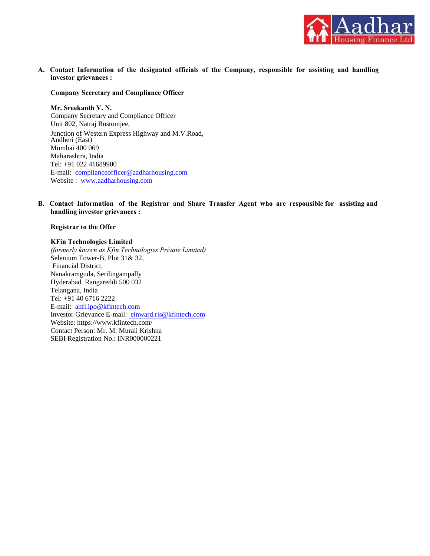

**investor grievances : A. Contact Information of the designated officials of the Company, responsible for assisting and handling**

#### **Company Secretary and Compliance Officer**

Website : www.aadharhousing.com E-mail: complianceofficer@aadharhousing.com Tel: +91 022 41689900 Maharashtra, India Mumbai 400 069 Andheri (East) Junction of Western Express Highway and M.V.Road, Unit 802, Natraj Rustomjee, Company Secretary and Compliance Officer **Mr. Sreekanth V. N.**

**handling investor grievances : B. Contact Information of the Registrar and Share Transfer Agent who are responsible for assisting and**

#### **Registrar to the Offer**

#### **KFin Technologies Limited**

SEBI Registration No.: INR000000221 Contact Person: Mr. M. Murali Krishna Website: https://www.kfintech.com/ Investor Grievance E-mail: einward.ris@kfintech.com E-mail: ahfl.ipo@kfintech.com Tel: +91 40 6716 2222 Telangana, India Hyderabad Rangareddi 500 032 Nanakramguda, Serilingampally Financial District, Selenium Tower-B, Plot 31& 32, *(formerly known as Kfin Technologies Private Limited)*